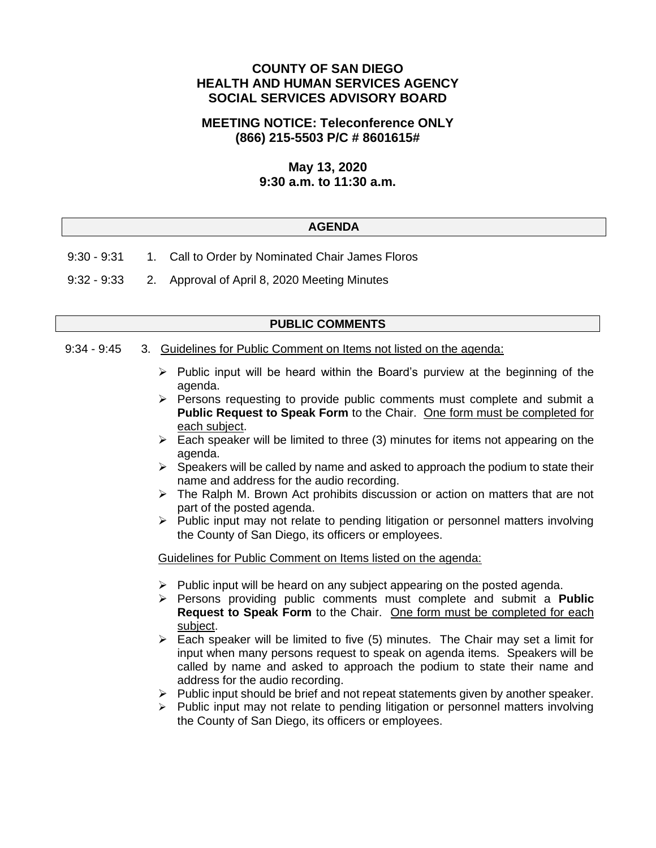## **COUNTY OF SAN DIEGO HEALTH AND HUMAN SERVICES AGENCY SOCIAL SERVICES ADVISORY BOARD**

## **MEETING NOTICE: Teleconference ONLY (866) 215-5503 P/C # 8601615#**

# **May 13, 2020 9:30 a.m. to 11:30 a.m.**

### **AGENDA**

- 9:30 9:31 1. Call to Order by Nominated Chair James Floros
- 9:32 9:33 2. Approval of April 8, 2020 Meeting Minutes

### **PUBLIC COMMENTS**

### 9:34 - 9:45 3. Guidelines for Public Comment on Items not listed on the agenda:

- $\triangleright$  Public input will be heard within the Board's purview at the beginning of the agenda.
- ➢ Persons requesting to provide public comments must complete and submit a **Public Request to Speak Form** to the Chair. One form must be completed for each subject.
- $\triangleright$  Each speaker will be limited to three (3) minutes for items not appearing on the agenda.
- $\triangleright$  Speakers will be called by name and asked to approach the podium to state their name and address for the audio recording.
- $\triangleright$  The Ralph M. Brown Act prohibits discussion or action on matters that are not part of the posted agenda.
- ➢ Public input may not relate to pending litigation or personnel matters involving the County of San Diego, its officers or employees.

Guidelines for Public Comment on Items listed on the agenda:

- $\triangleright$  Public input will be heard on any subject appearing on the posted agenda.
- ➢ Persons providing public comments must complete and submit a **Public Request to Speak Form** to the Chair. One form must be completed for each subject.
- $\triangleright$  Each speaker will be limited to five (5) minutes. The Chair may set a limit for input when many persons request to speak on agenda items. Speakers will be called by name and asked to approach the podium to state their name and address for the audio recording.
- ➢ Public input should be brief and not repeat statements given by another speaker.
- $\triangleright$  Public input may not relate to pending litigation or personnel matters involving the County of San Diego, its officers or employees.